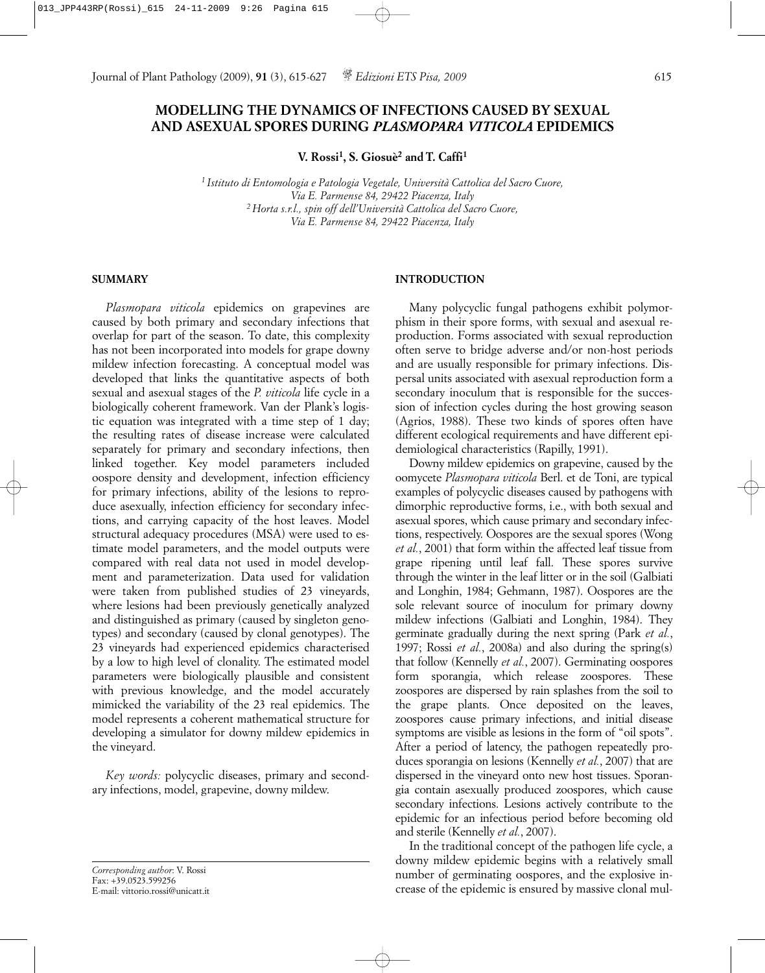# **MODELLING THE DYNAMICS OF INFECTIONS CAUSED BY SEXUAL AND ASEXUAL SPORES DURING** *PLASMOPARA VITICOLA* **EPIDEMICS**

**V. Rossi1, S. Giosuè2 and T. Caffi1**

*1 Istituto di Entomologia e Patologia Vegetale, Università Cattolica del Sacro Cuore, Via E. Parmense 84, 29422 Piacenza, Italy 2 Horta s.r.l., spin off dell'Università Cattolica del Sacro Cuore, Via E. Parmense 84, 29422 Piacenza, Italy*

## **SUMMARY**

*Plasmopara viticola* epidemics on grapevines are caused by both primary and secondary infections that overlap for part of the season. To date, this complexity has not been incorporated into models for grape downy mildew infection forecasting. A conceptual model was developed that links the quantitative aspects of both sexual and asexual stages of the *P. viticola* life cycle in a biologically coherent framework. Van der Plank's logistic equation was integrated with a time step of 1 day; the resulting rates of disease increase were calculated separately for primary and secondary infections, then linked together. Key model parameters included oospore density and development, infection efficiency for primary infections, ability of the lesions to reproduce asexually, infection efficiency for secondary infections, and carrying capacity of the host leaves. Model structural adequacy procedures (MSA) were used to estimate model parameters, and the model outputs were compared with real data not used in model development and parameterization. Data used for validation were taken from published studies of 23 vineyards, where lesions had been previously genetically analyzed and distinguished as primary (caused by singleton genotypes) and secondary (caused by clonal genotypes). The 23 vineyards had experienced epidemics characterised by a low to high level of clonality. The estimated model parameters were biologically plausible and consistent with previous knowledge, and the model accurately mimicked the variability of the 23 real epidemics. The model represents a coherent mathematical structure for developing a simulator for downy mildew epidemics in the vineyard.

*Key words:* polycyclic diseases, primary and secondary infections, model, grapevine, downy mildew.

*Corresponding author*: V. Rossi Fax:  $+39.0523.599256$ E-mail: vittorio.rossi@unicatt.it

## **INTRODUCTION**

Many polycyclic fungal pathogens exhibit polymorphism in their spore forms, with sexual and asexual reproduction. Forms associated with sexual reproduction often serve to bridge adverse and/or non-host periods and are usually responsible for primary infections. Dispersal units associated with asexual reproduction form a secondary inoculum that is responsible for the succession of infection cycles during the host growing season (Agrios, 1988). These two kinds of spores often have different ecological requirements and have different epidemiological characteristics (Rapilly, 1991).

Downy mildew epidemics on grapevine, caused by the oomycete *Plasmopara viticola* Berl. et de Toni, are typical examples of polycyclic diseases caused by pathogens with dimorphic reproductive forms, i.e., with both sexual and asexual spores, which cause primary and secondary infections, respectively. Oospores are the sexual spores (Wong *et al.*, 2001) that form within the affected leaf tissue from grape ripening until leaf fall. These spores survive through the winter in the leaf litter or in the soil (Galbiati and Longhin, 1984; Gehmann, 1987). Oospores are the sole relevant source of inoculum for primary downy mildew infections (Galbiati and Longhin, 1984). They germinate gradually during the next spring (Park *et al.*, 1997; Rossi *et al.*, 2008a) and also during the spring(s) that follow (Kennelly *et al.*, 2007). Germinating oospores form sporangia, which release zoospores. These zoospores are dispersed by rain splashes from the soil to the grape plants. Once deposited on the leaves, zoospores cause primary infections, and initial disease symptoms are visible as lesions in the form of "oil spots". After a period of latency, the pathogen repeatedly produces sporangia on lesions (Kennelly *et al.*, 2007) that are dispersed in the vineyard onto new host tissues. Sporangia contain asexually produced zoospores, which cause secondary infections. Lesions actively contribute to the epidemic for an infectious period before becoming old and sterile (Kennelly *et al.*, 2007).

In the traditional concept of the pathogen life cycle, a downy mildew epidemic begins with a relatively small number of germinating oospores, and the explosive increase of the epidemic is ensured by massive clonal mul-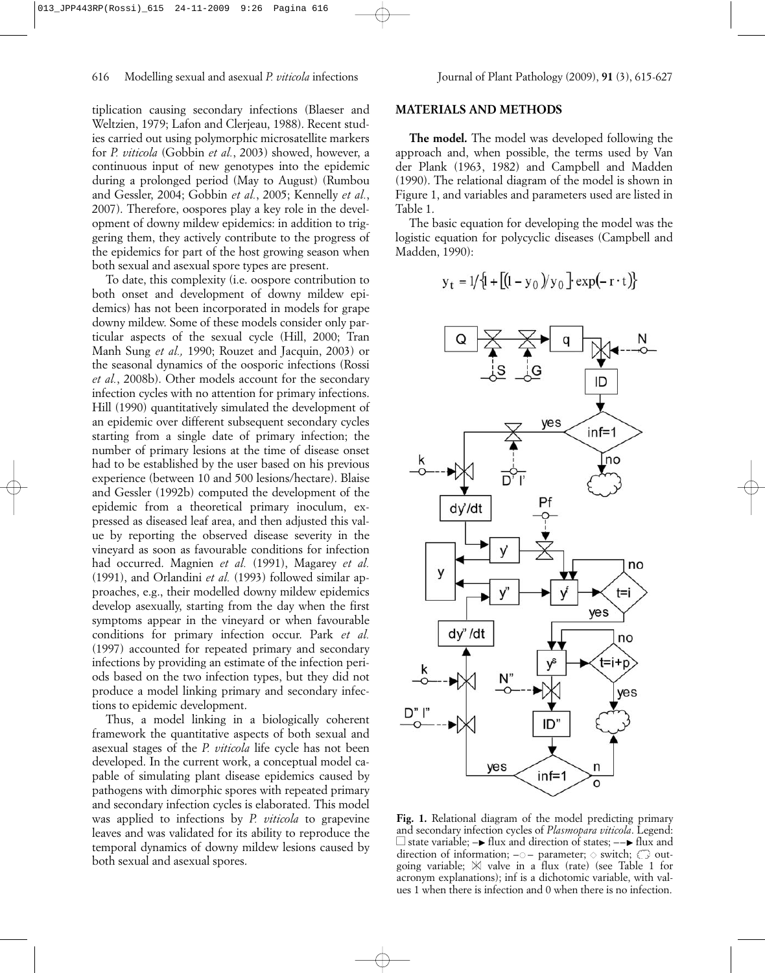tiplication causing secondary infections (Blaeser and Weltzien, 1979; Lafon and Clerjeau, 1988). Recent studies carried out using polymorphic microsatellite markers for *P. viticola* (Gobbin *et al.*, 2003) showed, however, a continuous input of new genotypes into the epidemic during a prolonged period (May to August) (Rumbou and Gessler, 2004; Gobbin *et al.*, 2005; Kennelly *et al.*, 2007). Therefore, oospores play a key role in the development of downy mildew epidemics: in addition to triggering them, they actively contribute to the progress of the epidemics for part of the host growing season when both sexual and asexual spore types are present.

To date, this complexity (i.e. oospore contribution to both onset and development of downy mildew epidemics) has not been incorporated in models for grape downy mildew. Some of these models consider only particular aspects of the sexual cycle (Hill, 2000; Tran Manh Sung *et al.,* 1990; Rouzet and Jacquin, 2003) or the seasonal dynamics of the oosporic infections (Rossi *et al.*, 2008b). Other models account for the secondary infection cycles with no attention for primary infections. Hill (1990) quantitatively simulated the development of an epidemic over different subsequent secondary cycles starting from a single date of primary infection; the number of primary lesions at the time of disease onset had to be established by the user based on his previous experience (between 10 and 500 lesions/hectare). Blaise and Gessler (1992b) computed the development of the epidemic from a theoretical primary inoculum, expressed as diseased leaf area, and then adjusted this value by reporting the observed disease severity in the vineyard as soon as favourable conditions for infection had occurred. Magnien *et al.* (1991), Magarey *et al.* (1991), and Orlandini *et al.* (1993) followed similar approaches, e.g., their modelled downy mildew epidemics develop asexually, starting from the day when the first symptoms appear in the vineyard or when favourable conditions for primary infection occur. Park *et al.* (1997) accounted for repeated primary and secondary infections by providing an estimate of the infection periods based on the two infection types, but they did not produce a model linking primary and secondary infections to epidemic development.

Thus, a model linking in a biologically coherent framework the quantitative aspects of both sexual and asexual stages of the *P. viticola* life cycle has not been developed. In the current work, a conceptual model capable of simulating plant disease epidemics caused by pathogens with dimorphic spores with repeated primary and secondary infection cycles is elaborated. This model was applied to infections by *P. viticola* to grapevine leaves and was validated for its ability to reproduce the temporal dynamics of downy mildew lesions caused by both sexual and asexual spores.

# **MATERIALS AND METHODS**

**The model.** The model was developed following the approach and, when possible, the terms used by Van der Plank (1963, 1982) and Campbell and Madden (1990). The relational diagram of the model is shown in Figure 1, and variables and parameters used are listed in Table 1.

The basic equation for developing the model was the logistic equation for polycyclic diseases (Campbell and Madden, 1990):

$$
y_t = 1/{(1 + [(1 - y_0)/y_0] \exp(-r \cdot t))}
$$



**Fig. 1.** Relational diagram of the model predicting primary and secondary infection cycles of *Plasmopara viticola*. Legend: □ state variable; –► flux and direction of states; ––► flux and direction of information;  $-\circ$  – parameter;  $\diamond$  switch;  $\bigcirc$  outgoing variable;  $\mathbb N$  valve in a flux (rate) (see Table 1 for acronym explanations); inf is a dichotomic variable, with values 1 when there is infection and 0 when there is no infection.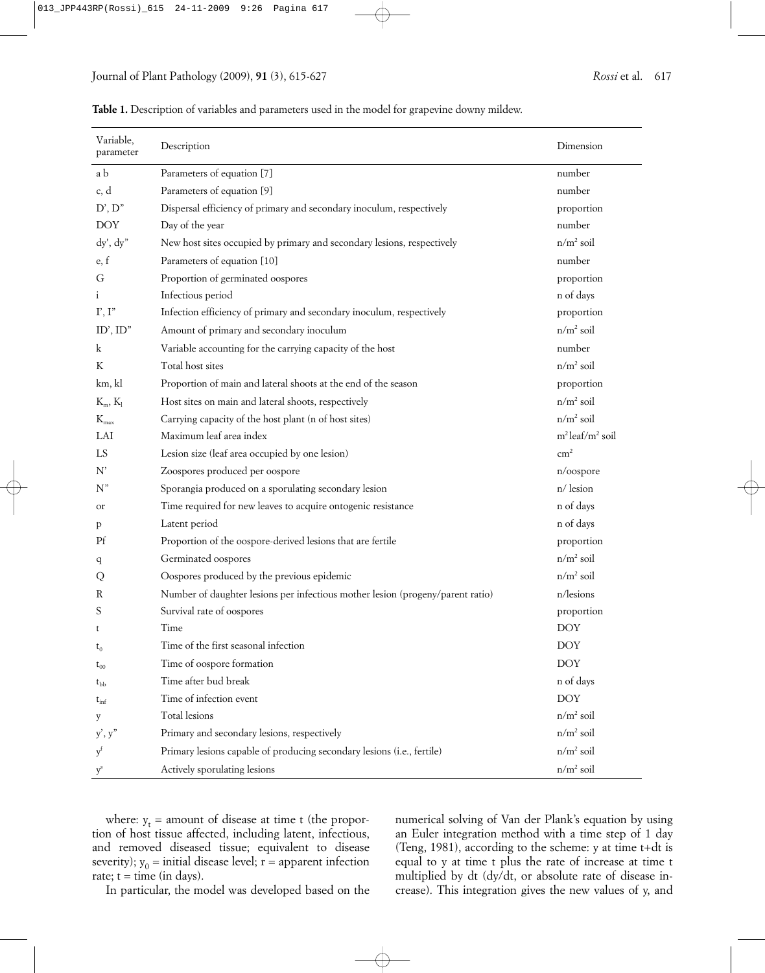| Variable,<br>parameter | Description                                                                    | Dimension              |
|------------------------|--------------------------------------------------------------------------------|------------------------|
| a b                    | Parameters of equation [7]                                                     | number                 |
| c, d                   | Parameters of equation [9]                                                     | number                 |
| D', D''                | Dispersal efficiency of primary and secondary inoculum, respectively           | proportion             |
| <b>DOY</b>             | Day of the year                                                                | number                 |
| dy', dy''              | New host sites occupied by primary and secondary lesions, respectively         | $n/m^2$ soil           |
| e, f                   | Parameters of equation [10]                                                    | number                 |
| G                      | Proportion of germinated oospores                                              | proportion             |
| <sup>i</sup>           | Infectious period                                                              | n of days              |
| $\Gamma, \Gamma$       | Infection efficiency of primary and secondary inoculum, respectively           | proportion             |
| ID', ID''              | Amount of primary and secondary inoculum                                       | $n/m^2$ soil           |
| k                      | Variable accounting for the carrying capacity of the host                      | number                 |
| K                      | Total host sites                                                               | $n/m^2$ soil           |
| km, kl                 | Proportion of main and lateral shoots at the end of the season                 | proportion             |
| $K_m, K_l$             | Host sites on main and lateral shoots, respectively                            | $n/m^2$ soil           |
| $K_{\max}$             | Carrying capacity of the host plant (n of host sites)                          | $n/m^2$ soil           |
| LAI                    | Maximum leaf area index                                                        | $m^2$ leaf/ $m^2$ soil |
| LS                     | Lesion size (leaf area occupied by one lesion)                                 | $\rm cm^2$             |
| N'                     | Zoospores produced per oospore                                                 | n/oospore              |
| $N$ "                  | Sporangia produced on a sporulating secondary lesion                           | $n$ / lesion           |
| or                     | Time required for new leaves to acquire ontogenic resistance                   | n of days              |
| p                      | Latent period                                                                  | n of days              |
| Pf                     | Proportion of the oospore-derived lesions that are fertile                     | proportion             |
| q                      | Germinated oospores                                                            | $n/m^2$ soil           |
| Q                      | Oospores produced by the previous epidemic                                     | $n/m^2$ soil           |
| R                      | Number of daughter lesions per infectious mother lesion (progeny/parent ratio) | n/lesions              |
| S                      | Survival rate of oospores                                                      | proportion             |
| t                      | Time                                                                           | <b>DOY</b>             |
| $\mathsf{t}_0$         | Time of the first seasonal infection                                           | $\rm DOY$              |
| $t_{00}$               | Time of oospore formation                                                      | <b>DOY</b>             |
| $t_{bb}$               | Time after bud break                                                           | n of days              |
| $t_{\text{inf}}$       | Time of infection event                                                        | <b>DOY</b>             |
| у                      | Total lesions                                                                  | $n/m^2$ soil           |
| y', y''                | Primary and secondary lesions, respectively                                    | $n/m^2$ soil           |
| $y^t$                  | Primary lesions capable of producing secondary lesions (i.e., fertile)         | $n/m^2$ soil           |
| $y^s$                  | Actively sporulating lesions                                                   | $n/m^2$ soil           |

**Table 1.** Description of variables and parameters used in the model for grapevine downy mildew.

where:  $y_t$  = amount of disease at time t (the proportion of host tissue affected, including latent, infectious, and removed diseased tissue; equivalent to disease severity);  $y_0$  = initial disease level; r = apparent infection rate;  $t = time (in days)$ .

In particular, the model was developed based on the

numerical solving of Van der Plank's equation by using an Euler integration method with a time step of 1 day (Teng, 1981), according to the scheme: y at time t+dt is equal to y at time t plus the rate of increase at time t multiplied by dt (dy/dt, or absolute rate of disease increase). This integration gives the new values of y, and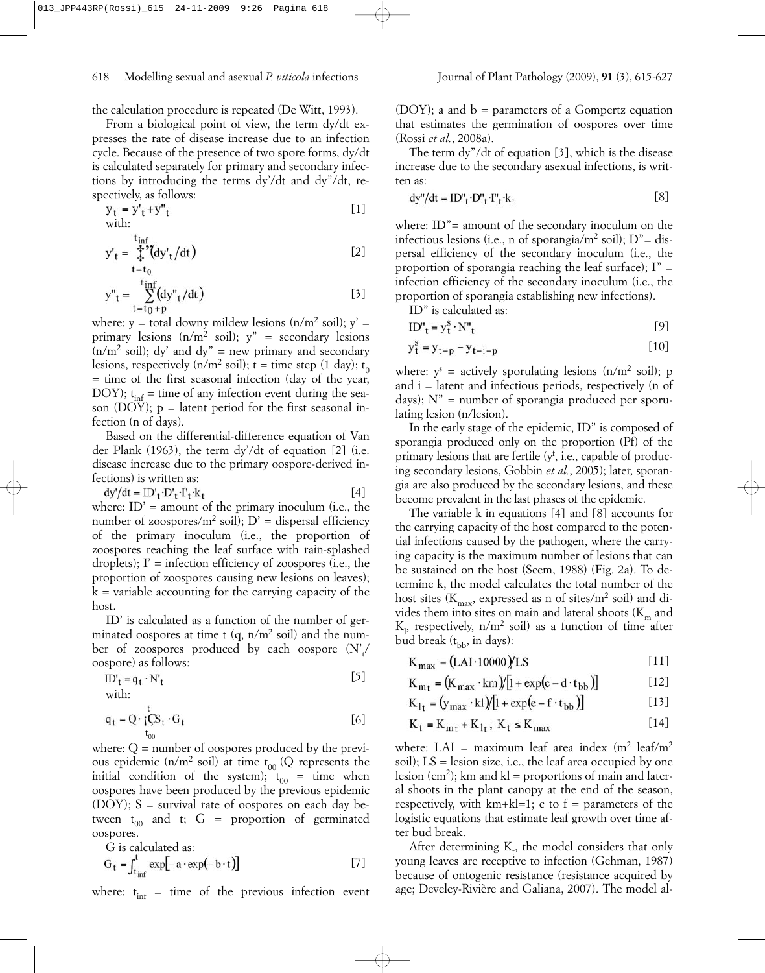the calculation procedure is repeated (De Witt, 1993).

From a biological point of view, the term dy/dt expresses the rate of disease increase due to an infection cycle. Because of the presence of two spore forms, dy/dt is calculated separately for primary and secondary infections by introducing the terms dy'/dt and dy"/dt, respectively, as follows:

$$
y_t = y'_t + y''_t
$$
 [1]  
with:

$$
y'_{t} = \frac{t_{\text{inf}}}{t} \zeta \left( dy'_{t} / dt \right)
$$
 [2]

$$
y''_{t} = \sum_{t=t_0+p}^{t_{\rm inf}} (dy''_{t}/dt)
$$
 [3]

where: y = total downy mildew lesions  $(n/m^2 \text{ soil})$ ; y' = primary lesions  $(n/m^2 \text{ soil})$ ;  $y'' =$  secondary lesions  $(n/m^2)$  soil); dy' and dy" = new primary and secondary lesions, respectively ( $n/m^2$  soil);  $t =$  time step (1 day);  $t_0$  $=$  time of the first seasonal infection (day of the year, DOY);  $t_{inf}$  = time of any infection event during the season (DOY);  $p =$  latent period for the first seasonal infection (n of days).

Based on the differential-difference equation of Van der Plank (1963), the term dy'/dt of equation [2] (i.e. disease increase due to the primary oospore-derived infections) is written as:

$$
dy'/dt = ID'_{t} \cdot D'_{t} \cdot T'_{t} k_{t}
$$

where:  $ID' =$  amount of the primary inoculum (i.e., the number of zoospores/ $m^2$  soil);  $D'$  = dispersal efficiency of the primary inoculum (i.e., the proportion of zoospores reaching the leaf surface with rain-splashed droplets);  $\Gamma$  = infection efficiency of zoospores (i.e., the proportion of zoospores causing new lesions on leaves);  $k =$  variable accounting for the carrying capacity of the host.

ID' is calculated as a function of the number of germinated oospores at time t  $(q, n/m^2)$  soil) and the number of zoospores produced by each oospore  $(N'_t / n)$ oospore) as follows:

$$
ID'_{t} = q_{t} \cdot N'_{t}
$$
 [5]

with:

$$
q_t = Q \cdot \frac{1}{4} Q_t \cdot G_t
$$

where:  $Q =$  number of oospores produced by the previous epidemic ( $n/m^2$  soil) at time  $t_{00}$  (Q represents the initial condition of the system);  $t_{00}$  = time when oospores have been produced by the previous epidemic (DOY);  $S =$  survival rate of oospores on each day between  $t_{00}$  and t; G = proportion of germinated oospores.

G is calculated as:

$$
G_t = \int_{t_{inf}}^{t} \exp[-a \cdot \exp(-b \cdot t)] \tag{7}
$$

where:  $t_{inf}$  = time of the previous infection event

(DOY); a and  $b =$  parameters of a Gompertz equation that estimates the germination of oospores over time (Rossi *et al.*, 2008a).

The term dy"/dt of equation [3], which is the disease increase due to the secondary asexual infections, is written as:

$$
dy''/dt = ID''_t \cdot D''_t \cdot I''_t \cdot k_t
$$
 [8]

where: ID"= amount of the secondary inoculum on the infectious lesions (i.e., n of sporangia/ $m^2$  soil);  $D'' =$  dispersal efficiency of the secondary inoculum (i.e., the proportion of sporangia reaching the leaf surface);  $I'' =$ infection efficiency of the secondary inoculum (i.e., the proportion of sporangia establishing new infections).

ID" is calculated as:

$$
ID''_t = y_t^s \cdot N''_t \tag{9}
$$

$$
y_t^s = y_{t-p} - y_{t-i-p}
$$
 [10]

where:  $v^s$  = actively sporulating lesions  $(n/m^2 \text{ soil})$ ; p and  $i =$  latent and infectious periods, respectively (n of days);  $N'' =$  number of sporangia produced per sporulating lesion (n/lesion).

In the early stage of the epidemic, ID" is composed of sporangia produced only on the proportion (Pf) of the primary lesions that are fertile  $(y^f, i.e.,$  capable of producing secondary lesions, Gobbin *et al.*, 2005); later, sporangia are also produced by the secondary lesions, and these become prevalent in the last phases of the epidemic.

The variable k in equations [4] and [8] accounts for the carrying capacity of the host compared to the potential infections caused by the pathogen, where the carrying capacity is the maximum number of lesions that can be sustained on the host (Seem, 1988) (Fig. 2a). To determine k, the model calculates the total number of the host sites ( $K_{\text{max}}$ , expressed as n of sites/ $m^2$  soil) and divides them into sites on main and lateral shoots  $(K<sub>m</sub>$  and  $K_1$ , respectively, n/m<sup>2</sup> soil) as a function of time after bud break  $(t_{\rm bb}$ , in days):

$$
K_{\text{max}} = (LAI \cdot 10000)/LS
$$
 [11]

$$
K_{m} = (K_{\text{max}} \cdot \text{km})/[1 + \exp(c - d \cdot t_{\text{bb}})] \tag{12}
$$

$$
K_{1t} = (y_{max} \cdot kl)/[1 + exp(e - f \cdot t_{bb})]
$$
 [13]

$$
K_t = K_{m_t} + K_{l_t}; K_t \le K_{max}
$$
 [14]

where: LAI = maximum leaf area index  $(m^2 \text{ leaf/m}^2)$ soil);  $LS =$  lesion size, i.e., the leaf area occupied by one lesion (cm<sup>2</sup>); km and kl = proportions of main and lateral shoots in the plant canopy at the end of the season, respectively, with  $km+kl=1$ ; c to  $f =$  parameters of the logistic equations that estimate leaf growth over time after bud break.

After determining  $K_t$ , the model considers that only young leaves are receptive to infection (Gehman, 1987) because of ontogenic resistance (resistance acquired by age; Develey-Rivière and Galiana, 2007). The model al-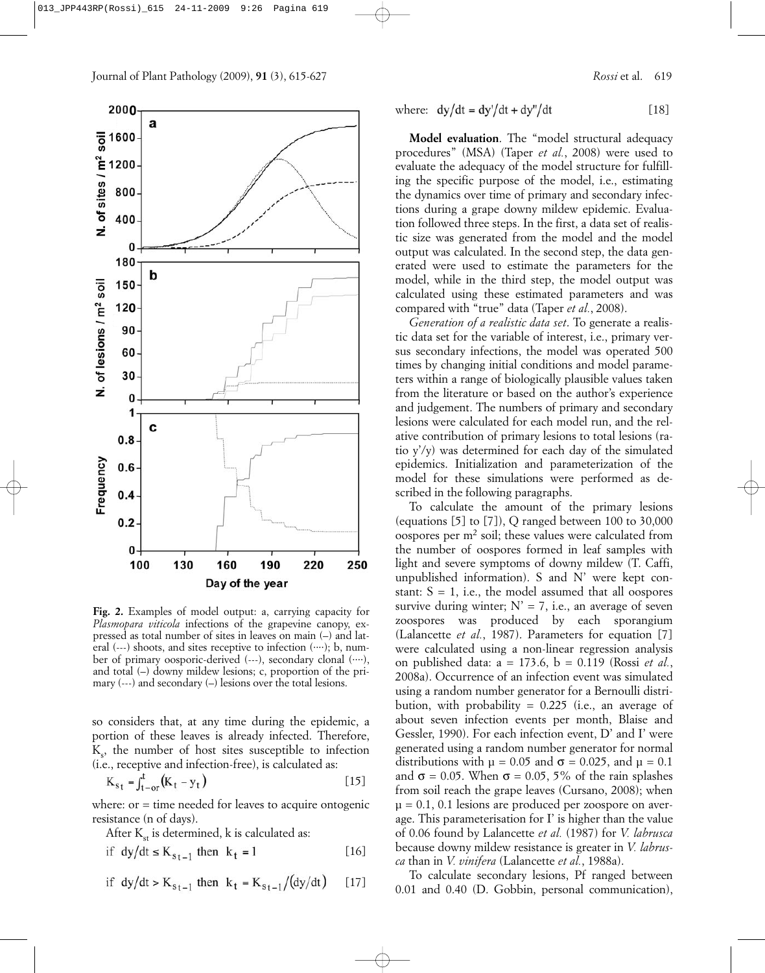



**Fig. 2.** Examples of model output: a, carrying capacity for *Plasmopara viticola* infections of the grapevine canopy, expressed as total number of sites in leaves on main (–) and lateral (---) shoots, and sites receptive to infection (....); b, number of primary oosporic-derived (---), secondary clonal (....), and total (–) downy mildew lesions; c, proportion of the primary (---) and secondary (–) lesions over the total lesions.

so considers that, at any time during the epidemic, a portion of these leaves is already infected. Therefore,  $K<sub>s</sub>$ , the number of host sites susceptible to infection (i.e., receptive and infection-free), is calculated as:

$$
K_{st} = f_{t-or}^{t}(K_t - y_t)
$$
 [15]

where: or = time needed for leaves to acquire ontogenic resistance (n of days).

After  $K_{st}$  is determined, k is calculated as:

$$
if \ dy/dt \le K_{s_{t-1}} \ then \ k_t = 1 \tag{16}
$$

if dy/dt > K<sub>st-1</sub> then 
$$
k_t = K_{st-1}/(dy/dt)
$$
 [17]

where: 
$$
dy/dt = dy'/dt + dy''/dt
$$
 [18]

**Model evaluation**. The "model structural adequacy procedures" (MSA) (Taper *et al.*, 2008) were used to evaluate the adequacy of the model structure for fulfilling the specific purpose of the model, i.e., estimating the dynamics over time of primary and secondary infections during a grape downy mildew epidemic. Evaluation followed three steps. In the first, a data set of realistic size was generated from the model and the model output was calculated. In the second step, the data generated were used to estimate the parameters for the model, while in the third step, the model output was calculated using these estimated parameters and was compared with "true" data (Taper *et al.*, 2008).

*Generation of a realistic data set*. To generate a realistic data set for the variable of interest, i.e., primary versus secondary infections, the model was operated 500 times by changing initial conditions and model parameters within a range of biologically plausible values taken from the literature or based on the author's experience and judgement. The numbers of primary and secondary lesions were calculated for each model run, and the relative contribution of primary lesions to total lesions (ratio y'/y) was determined for each day of the simulated epidemics. Initialization and parameterization of the model for these simulations were performed as described in the following paragraphs.

To calculate the amount of the primary lesions (equations  $[5]$  to  $[7]$ ), Q ranged between 100 to 30,000 oospores per  $m<sup>2</sup>$  soil; these values were calculated from the number of oospores formed in leaf samples with light and severe symptoms of downy mildew (T. Caffi, unpublished information). S and N' were kept constant:  $S = 1$ , i.e., the model assumed that all oospores survive during winter;  $N' = 7$ , i.e., an average of seven zoospores was produced by each sporangium (Lalancette *et al.*, 1987). Parameters for equation [7] were calculated using a non-linear regression analysis on published data: a = 173.6, b = 0.119 (Rossi *et al.*, 2008a). Occurrence of an infection event was simulated using a random number generator for a Bernoulli distribution, with probability =  $0.225$  (i.e., an average of about seven infection events per month, Blaise and Gessler, 1990). For each infection event, D' and I' were generated using a random number generator for normal distributions with  $\mu = 0.05$  and  $\sigma = 0.025$ , and  $\mu = 0.1$ and  $\sigma = 0.05$ . When  $\sigma = 0.05$ , 5% of the rain splashes from soil reach the grape leaves (Cursano, 2008); when  $\mu$  = 0.1, 0.1 lesions are produced per zoospore on average. This parameterisation for I' is higher than the value of 0.06 found by Lalancette *et al.* (1987) for *V. labrusca* because downy mildew resistance is greater in *V. labrusca* than in *V. vinifera* (Lalancette *et al.*, 1988a).

To calculate secondary lesions, Pf ranged between 0.01 and 0.40 (D. Gobbin, personal communication),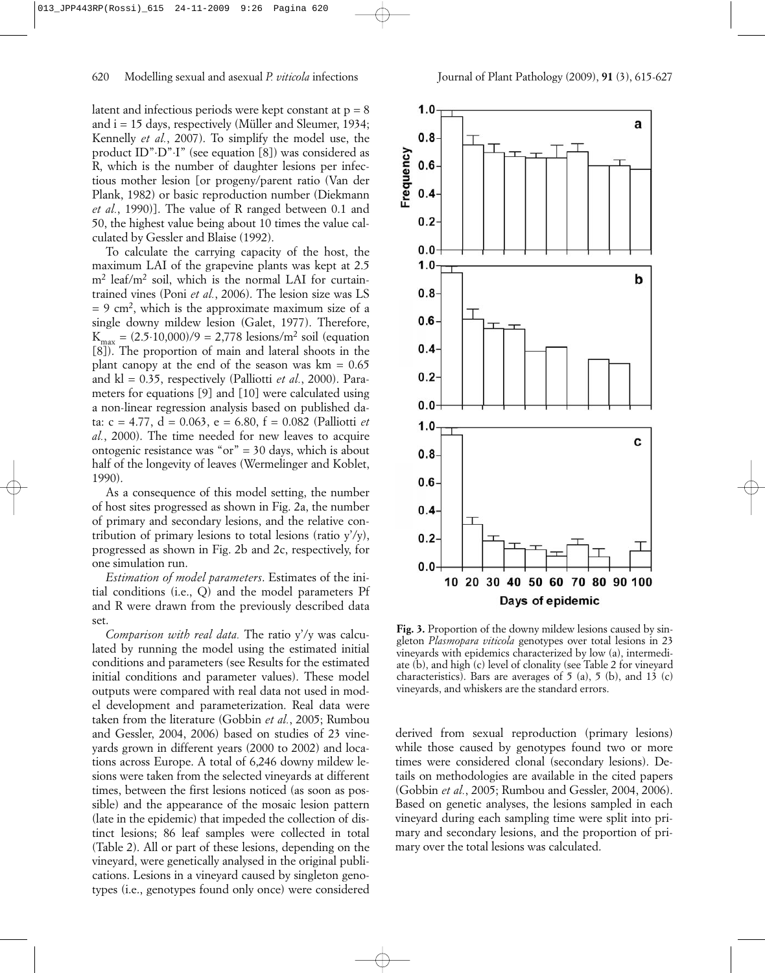latent and infectious periods were kept constant at  $p = 8$ and  $i = 15$  days, respectively (Müller and Sleumer, 1934; Kennelly *et al.*, 2007). To simplify the model use, the product ID"⋅D"⋅I" (see equation [8]) was considered as R, which is the number of daughter lesions per infectious mother lesion [or progeny/parent ratio (Van der Plank, 1982) or basic reproduction number (Diekmann *et al.*, 1990)]. The value of R ranged between 0.1 and 50, the highest value being about 10 times the value calculated by Gessler and Blaise (1992).

To calculate the carrying capacity of the host, the maximum LAI of the grapevine plants was kept at 2.5  $m<sup>2</sup>$  leaf/m<sup>2</sup> soil, which is the normal LAI for curtaintrained vines (Poni *et al.*, 2006). The lesion size was LS  $= 9$  cm<sup>2</sup>, which is the approximate maximum size of a single downy mildew lesion (Galet, 1977). Therefore,  $K_{\text{max}} = (2.5 \cdot 10,000)/9 = 2,778 \text{ lesions/m}^2 \text{ soil (equation)}$ [8]). The proportion of main and lateral shoots in the plant canopy at the end of the season was  $km = 0.65$ and kl = 0.35, respectively (Palliotti *et al.*, 2000). Parameters for equations [9] and [10] were calculated using a non-linear regression analysis based on published data: c = 4.77, d = 0.063, e = 6.80, f = 0.082 (Palliotti *et al.*, 2000). The time needed for new leaves to acquire ontogenic resistance was " $or$ " = 30 days, which is about half of the longevity of leaves (Wermelinger and Koblet, 1990).

As a consequence of this model setting, the number of host sites progressed as shown in Fig. 2a, the number of primary and secondary lesions, and the relative contribution of primary lesions to total lesions (ratio  $y'/y$ ), progressed as shown in Fig. 2b and 2c, respectively, for one simulation run.

*Estimation of model parameters*. Estimates of the initial conditions (i.e., Q) and the model parameters Pf and R were drawn from the previously described data set.

*Comparison with real data.* The ratio y'/y was calculated by running the model using the estimated initial conditions and parameters (see Results for the estimated initial conditions and parameter values). These model outputs were compared with real data not used in model development and parameterization. Real data were taken from the literature (Gobbin *et al.*, 2005; Rumbou and Gessler, 2004, 2006) based on studies of 23 vineyards grown in different years (2000 to 2002) and locations across Europe. A total of 6,246 downy mildew lesions were taken from the selected vineyards at different times, between the first lesions noticed (as soon as possible) and the appearance of the mosaic lesion pattern (late in the epidemic) that impeded the collection of distinct lesions; 86 leaf samples were collected in total (Table 2). All or part of these lesions, depending on the vineyard, were genetically analysed in the original publications. Lesions in a vineyard caused by singleton genotypes (i.e., genotypes found only once) were considered



**Fig. 3.** Proportion of the downy mildew lesions caused by singleton *Plasmopara viticola* genotypes over total lesions in 23 vineyards with epidemics characterized by low (a), intermediate (b), and high (c) level of clonality (see Table 2 for vineyard characteristics). Bars are averages of  $5$  (a),  $5$  (b), and 13 (c) vineyards, and whiskers are the standard errors.

derived from sexual reproduction (primary lesions) while those caused by genotypes found two or more times were considered clonal (secondary lesions). Details on methodologies are available in the cited papers (Gobbin *et al.*, 2005; Rumbou and Gessler, 2004, 2006). Based on genetic analyses, the lesions sampled in each vineyard during each sampling time were split into primary and secondary lesions, and the proportion of primary over the total lesions was calculated.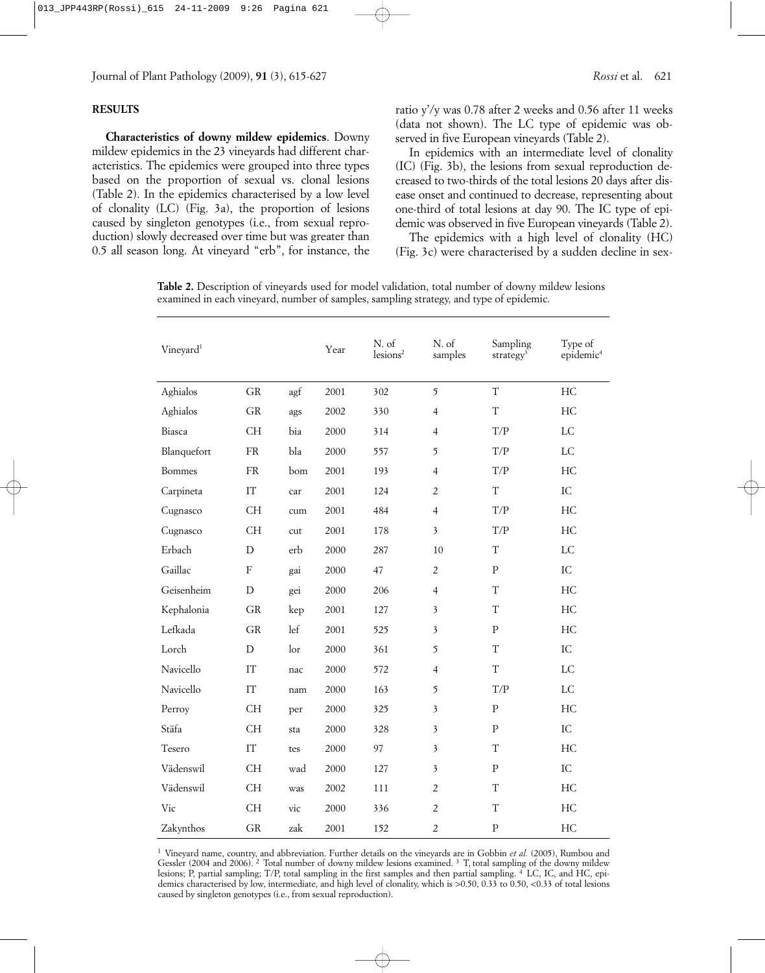## **RESULTS**

**Characteristics of downy mildew epidemics**. Downy mildew epidemics in the 23 vineyards had different characteristics. The epidemics were grouped into three types based on the proportion of sexual vs. clonal lesions (Table 2). In the epidemics characterised by a low level of clonality (LC) (Fig. 3a), the proportion of lesions caused by singleton genotypes (i.e., from sexual reproduction) slowly decreased over time but was greater than 0.5 all season long. At vineyard "erb", for instance, the

ratio y'/y was 0.78 after 2 weeks and 0.56 after 11 weeks (data not shown). The LC type of epidemic was observed in five European vineyards (Table 2).

In epidemics with an intermediate level of clonality (IC) (Fig. 3b), the lesions from sexual reproduction decreased to two-thirds of the total lesions 20 days after disease onset and continued to decrease, representing about one-third of total lesions at day 90. The IC type of epidemic was observed in five European vineyards (Table 2).

The epidemics with a high level of clonality (HC) (Fig. 3c) were characterised by a sudden decline in sex-

**Table 2.** Description of vineyards used for model validation, total number of downy mildew lesions examined in each vineyard, number of samples, sampling strategy, and type of epidemic.

| Vineyard <sup>1</sup> |            |     | Year | N. of<br>lesions <sup>2</sup> | N. of<br>samples        | Sampling<br>strategy <sup>3</sup> | Type of<br>epidemic <sup>4</sup> |
|-----------------------|------------|-----|------|-------------------------------|-------------------------|-----------------------------------|----------------------------------|
| Aghialos              | ${\rm GR}$ | agf | 2001 | 302                           | 5                       | $\overline{T}$                    | HC                               |
| Aghialos              | GR         | ags | 2002 | 330                           | $\overline{4}$          | T                                 | HC                               |
| Biasca                | <b>CH</b>  | bia | 2000 | 314                           | $\overline{4}$          | $\mathrm{T}/\mathrm{P}$           | LC                               |
| Blanquefort           | <b>FR</b>  | bla | 2000 | 557                           | 5                       | $\mathrm{T}/\mathrm{P}$           | $_{\rm LC}$                      |
| <b>Bommes</b>         | FR         | bom | 2001 | 193                           | $\overline{4}$          | T/P                               | HC                               |
| Carpineta             | IT         | car | 2001 | 124                           | $\overline{2}$          | $\rm T$                           | IC                               |
| Cugnasco              | <b>CH</b>  | cum | 2001 | 484                           | $\overline{4}$          | T/P                               | HC                               |
| Cugnasco              | <b>CH</b>  | cut | 2001 | 178                           | 3                       | T/P                               | HC                               |
| Erbach                | D          | erb | 2000 | 287                           | 10                      | T                                 | LC                               |
| Gaillac               | ${\rm F}$  | gai | 2000 | 47                            | $\overline{2}$          | ${\bf P}$                         | ${\rm IC}$                       |
| Geisenheim            | D          | gei | 2000 | 206                           | $\overline{4}$          | T                                 | HC                               |
| Kephalonia            | GR         | kep | 2001 | 127                           | 3                       | T                                 | HC                               |
| Lefkada               | GR         | lef | 2001 | 525                           | 3                       | ${\bf P}$                         | HC                               |
| Lorch                 | D          | lor | 2000 | 361                           | 5                       | $\rm T$                           | ${\rm IC}$                       |
| Navicello             | IT         | nac | 2000 | 572                           | $\overline{4}$          | T                                 | LC                               |
| Navicello             | IT         | nam | 2000 | 163                           | 5                       | T/P                               | LC                               |
| Perroy                | <b>CH</b>  | per | 2000 | 325                           | 3                       | ${\bf P}$                         | HC                               |
| Stäfa                 | <b>CH</b>  | sta | 2000 | 328                           | $\mathfrak{Z}$          | ${\bf P}$                         | IC                               |
| Tesero                | IT         | tes | 2000 | 97                            | $\overline{\mathbf{3}}$ | T                                 | HC                               |
| Vädenswil             | <b>CH</b>  | wad | 2000 | 127                           | 3                       | ${\bf P}$                         | IC                               |
| Vädenswil             | CH         | was | 2002 | 111                           | $\overline{2}$          | T                                 | HC                               |
| Vic                   | <b>CH</b>  | vic | 2000 | 336                           | $\overline{2}$          | T                                 | HC                               |
| Zakynthos             | GR         | zak | 2001 | 152                           | $\overline{c}$          | ${\bf P}$                         | HC                               |

1 Vineyard name, country, and abbreviation. Further details on the vineyards are in Gobbin *et al.* (2005), Rumbou and Gessler (2004 and 2006). <sup>2</sup> Total number of downy mildew lesions examined. <sup>3</sup> T, total sampling of the downy mildew lesions; P, partial sampling; T/P, total sampling in the first samples and then partial sampling. 4 LC, IC, and HC, epidemics characterised by low, intermediate, and high level of clonality, which is >0.50, 0.33 to 0.50, <0.33 of total lesions caused by singleton genotypes (i.e., from sexual reproduction).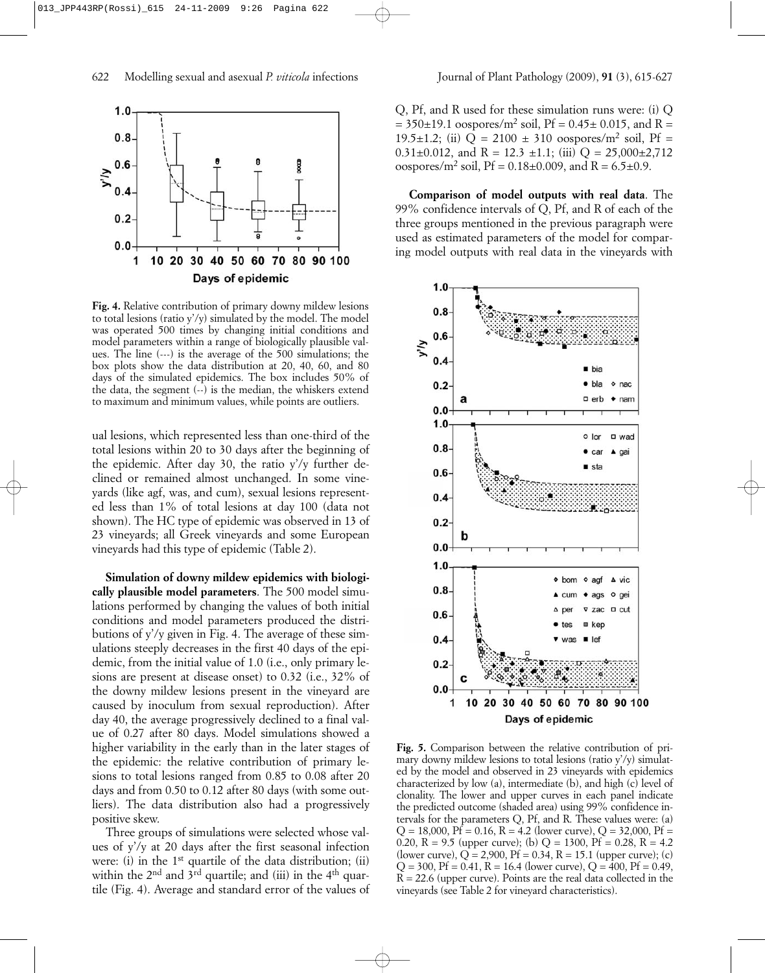

**Fig. 4.** Relative contribution of primary downy mildew lesions to total lesions (ratio y'/y) simulated by the model. The model was operated 500 times by changing initial conditions and model parameters within a range of biologically plausible values. The line (---) is the average of the 500 simulations; the box plots show the data distribution at 20, 40, 60, and 80 days of the simulated epidemics. The box includes 50% of the data, the segment (--) is the median, the whiskers extend to maximum and minimum values, while points are outliers.

ual lesions, which represented less than one-third of the total lesions within 20 to 30 days after the beginning of the epidemic. After day 30, the ratio y'/y further declined or remained almost unchanged. In some vineyards (like agf, was, and cum), sexual lesions represented less than 1% of total lesions at day 100 (data not shown). The HC type of epidemic was observed in 13 of 23 vineyards; all Greek vineyards and some European vineyards had this type of epidemic (Table 2).

**Simulation of downy mildew epidemics with biologically plausible model parameters**. The 500 model simulations performed by changing the values of both initial conditions and model parameters produced the distributions of y'/y given in Fig. 4. The average of these simulations steeply decreases in the first 40 days of the epidemic, from the initial value of 1.0 (i.e., only primary lesions are present at disease onset) to 0.32 (i.e., 32% of the downy mildew lesions present in the vineyard are caused by inoculum from sexual reproduction). After day 40, the average progressively declined to a final value of 0.27 after 80 days. Model simulations showed a higher variability in the early than in the later stages of the epidemic: the relative contribution of primary lesions to total lesions ranged from 0.85 to 0.08 after 20 days and from 0.50 to 0.12 after 80 days (with some outliers). The data distribution also had a progressively positive skew.

Three groups of simulations were selected whose values of y'/y at 20 days after the first seasonal infection were: (i) in the 1<sup>st</sup> quartile of the data distribution; (ii) within the  $2<sup>nd</sup>$  and  $3<sup>rd</sup>$  quartile; and (iii) in the  $4<sup>th</sup>$  quartile (Fig. 4). Average and standard error of the values of Q, Pf, and R used for these simulation runs were: (i) Q  $= 350 \pm 19.1$  oospores/m<sup>2</sup> soil, Pf = 0.45 $\pm$  0.015, and R = 19.5 $\pm$ 1.2; (ii)  $Q = 2100 \pm 310$  oospores/m<sup>2</sup> soil, Pf = 0.31 $\pm$ 0.012, and R = 12.3  $\pm$ 1.1; (iii) Q = 25,000 $\pm$ 2,712 oospores/m<sup>2</sup> soil, Pf =  $0.18 \pm 0.009$ , and R =  $6.5 \pm 0.9$ .

**Comparison of model outputs with real data**. The 99% confidence intervals of Q, Pf, and R of each of the three groups mentioned in the previous paragraph were used as estimated parameters of the model for comparing model outputs with real data in the vineyards with



**Fig. 5.** Comparison between the relative contribution of primary downy mildew lesions to total lesions (ratio y'/y) simulated by the model and observed in 23 vineyards with epidemics characterized by low (a), intermediate (b), and high (c) level of clonality. The lower and upper curves in each panel indicate the predicted outcome (shaded area) using 99% confidence intervals for the parameters Q, Pf, and R. These values were: (a)  $Q = 18,000$ ,  $Pf = 0.16$ ,  $R = 4.2$  (lower curve),  $Q = 32,000$ ,  $Pf =$ 0.20, R = 9.5 (upper curve); (b)  $Q = 1300$ , Pf = 0.28, R = 4.2 (lower curve),  $Q = 2,900$ ,  $Pf = 0.34$ ,  $R = 15.1$  (upper curve); (c)  $Q = 300$ ,  $Pf = 0.41$ ,  $R = 16.4$  (lower curve),  $Q = 400$ ,  $Pf = 0.49$ ,  $R = 22.6$  (upper curve). Points are the real data collected in the vineyards (see Table 2 for vineyard characteristics).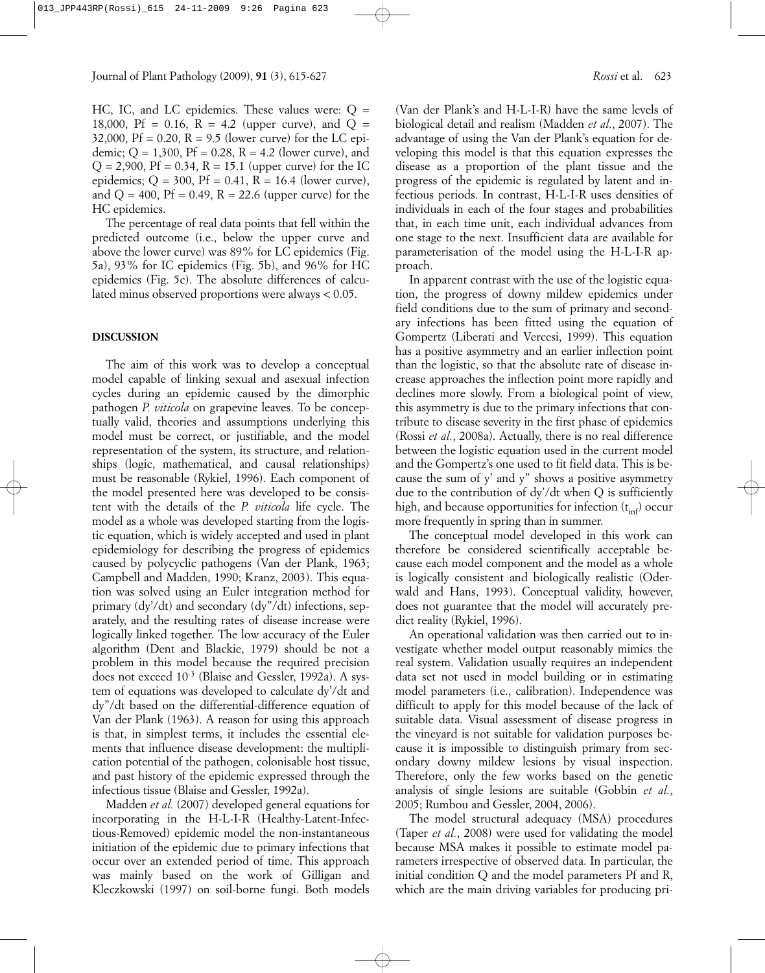HC, IC, and LC epidemics. These values were:  $Q =$ 18,000, Pf = 0.16, R = 4.2 (upper curve), and  $Q =$ 32,000,  $Pf = 0.20$ ,  $R = 9.5$  (lower curve) for the LC epidemic;  $Q = 1,300$ ,  $Pf = 0.28$ ,  $R = 4.2$  (lower curve), and  $Q = 2,900$ ,  $Pf = 0.34$ ,  $R = 15.1$  (upper curve) for the IC epidemics;  $Q = 300$ ,  $Pf = 0.41$ ,  $R = 16.4$  (lower curve), and  $Q = 400$ ,  $Pf = 0.49$ ,  $R = 22.6$  (upper curve) for the HC epidemics.

The percentage of real data points that fell within the predicted outcome (i.e., below the upper curve and above the lower curve) was 89% for LC epidemics (Fig. 5a), 93% for IC epidemics (Fig. 5b), and 96% for HC epidemics (Fig. 5c). The absolute differences of calculated minus observed proportions were always < 0.05.

#### **DISCUSSION**

The aim of this work was to develop a conceptual model capable of linking sexual and asexual infection cycles during an epidemic caused by the dimorphic pathogen *P. viticola* on grapevine leaves. To be conceptually valid, theories and assumptions underlying this model must be correct, or justifiable, and the model representation of the system, its structure, and relationships (logic, mathematical, and causal relationships) must be reasonable (Rykiel, 1996). Each component of the model presented here was developed to be consistent with the details of the *P. viticola* life cycle. The model as a whole was developed starting from the logistic equation, which is widely accepted and used in plant epidemiology for describing the progress of epidemics caused by polycyclic pathogens (Van der Plank, 1963; Campbell and Madden, 1990; Kranz, 2003). This equation was solved using an Euler integration method for primary (dy'/dt) and secondary (dy"/dt) infections, separately, and the resulting rates of disease increase were logically linked together. The low accuracy of the Euler algorithm (Dent and Blackie, 1979) should be not a problem in this model because the required precision does not exceed 10-3 (Blaise and Gessler, 1992a). A system of equations was developed to calculate dy'/dt and dy"/dt based on the differential-difference equation of Van der Plank (1963). A reason for using this approach is that, in simplest terms, it includes the essential elements that influence disease development: the multiplication potential of the pathogen, colonisable host tissue, and past history of the epidemic expressed through the infectious tissue (Blaise and Gessler, 1992a).

Madden *et al.* (2007) developed general equations for incorporating in the H-L-I-R (Healthy-Latent-Infectious-Removed) epidemic model the non-instantaneous initiation of the epidemic due to primary infections that occur over an extended period of time. This approach was mainly based on the work of Gilligan and Kleczkowski (1997) on soil-borne fungi. Both models

(Van der Plank's and H-L-I-R) have the same levels of biological detail and realism (Madden *et al.*, 2007). The advantage of using the Van der Plank's equation for developing this model is that this equation expresses the disease as a proportion of the plant tissue and the progress of the epidemic is regulated by latent and infectious periods. In contrast, H-L-I-R uses densities of individuals in each of the four stages and probabilities that, in each time unit, each individual advances from one stage to the next. Insufficient data are available for parameterisation of the model using the H-L-I-R approach.

In apparent contrast with the use of the logistic equation, the progress of downy mildew epidemics under field conditions due to the sum of primary and secondary infections has been fitted using the equation of Gompertz (Liberati and Vercesi, 1999). This equation has a positive asymmetry and an earlier inflection point than the logistic, so that the absolute rate of disease increase approaches the inflection point more rapidly and declines more slowly. From a biological point of view, this asymmetry is due to the primary infections that contribute to disease severity in the first phase of epidemics (Rossi *et al.*, 2008a). Actually, there is no real difference between the logistic equation used in the current model and the Gompertz's one used to fit field data. This is because the sum of y' and y" shows a positive asymmetry due to the contribution of dy'/dt when Q is sufficiently high, and because opportunities for infection  $(t_{inf})$  occur more frequently in spring than in summer.

The conceptual model developed in this work can therefore be considered scientifically acceptable because each model component and the model as a whole is logically consistent and biologically realistic (Oderwald and Hans, 1993). Conceptual validity, however, does not guarantee that the model will accurately predict reality (Rykiel, 1996).

An operational validation was then carried out to investigate whether model output reasonably mimics the real system. Validation usually requires an independent data set not used in model building or in estimating model parameters (i.e., calibration). Independence was difficult to apply for this model because of the lack of suitable data. Visual assessment of disease progress in the vineyard is not suitable for validation purposes because it is impossible to distinguish primary from secondary downy mildew lesions by visual inspection. Therefore, only the few works based on the genetic analysis of single lesions are suitable (Gobbin *et al.*, 2005; Rumbou and Gessler, 2004, 2006).

The model structural adequacy (MSA) procedures (Taper *et al.*, 2008) were used for validating the model because MSA makes it possible to estimate model parameters irrespective of observed data. In particular, the initial condition Q and the model parameters Pf and R, which are the main driving variables for producing pri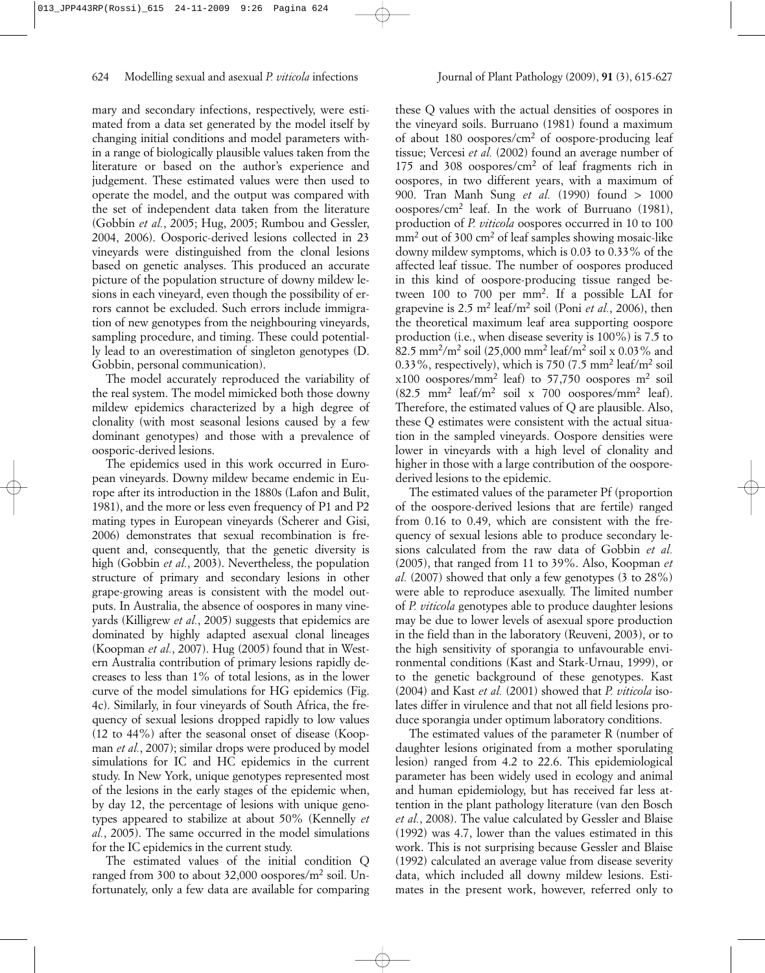mary and secondary infections, respectively, were estimated from a data set generated by the model itself by changing initial conditions and model parameters within a range of biologically plausible values taken from the literature or based on the author's experience and judgement. These estimated values were then used to operate the model, and the output was compared with the set of independent data taken from the literature (Gobbin *et al.*, 2005; Hug, 2005; Rumbou and Gessler, 2004, 2006). Oosporic-derived lesions collected in 23 vineyards were distinguished from the clonal lesions based on genetic analyses. This produced an accurate picture of the population structure of downy mildew lesions in each vineyard, even though the possibility of errors cannot be excluded. Such errors include immigration of new genotypes from the neighbouring vineyards, sampling procedure, and timing. These could potentially lead to an overestimation of singleton genotypes (D. Gobbin, personal communication).

The model accurately reproduced the variability of the real system. The model mimicked both those downy mildew epidemics characterized by a high degree of clonality (with most seasonal lesions caused by a few dominant genotypes) and those with a prevalence of oosporic-derived lesions.

The epidemics used in this work occurred in European vineyards. Downy mildew became endemic in Europe after its introduction in the 1880s (Lafon and Bulit, 1981), and the more or less even frequency of P1 and P2 mating types in European vineyards (Scherer and Gisi, 2006) demonstrates that sexual recombination is frequent and, consequently, that the genetic diversity is high (Gobbin *et al.*, 2003). Nevertheless, the population structure of primary and secondary lesions in other grape-growing areas is consistent with the model outputs. In Australia, the absence of oospores in many vineyards (Killigrew *et al.*, 2005) suggests that epidemics are dominated by highly adapted asexual clonal lineages (Koopman *et al.*, 2007). Hug (2005) found that in Western Australia contribution of primary lesions rapidly decreases to less than 1% of total lesions, as in the lower curve of the model simulations for HG epidemics (Fig. 4c). Similarly, in four vineyards of South Africa, the frequency of sexual lesions dropped rapidly to low values (12 to 44%) after the seasonal onset of disease (Koopman *et al.*, 2007); similar drops were produced by model simulations for IC and HC epidemics in the current study. In New York, unique genotypes represented most of the lesions in the early stages of the epidemic when, by day 12, the percentage of lesions with unique genotypes appeared to stabilize at about 50% (Kennelly *et al.*, 2005). The same occurred in the model simulations for the IC epidemics in the current study.

The estimated values of the initial condition Q ranged from 300 to about 32,000 oospores/m2 soil. Unfortunately, only a few data are available for comparing

these Q values with the actual densities of oospores in the vineyard soils. Burruano (1981) found a maximum of about 180 oospores/cm2 of oospore-producing leaf tissue; Vercesi *et al.* (2002) found an average number of 175 and 308 oospores/cm2 of leaf fragments rich in oospores, in two different years, with a maximum of 900. Tran Manh Sung *et al.* (1990) found > 1000 oospores/cm2 leaf. In the work of Burruano (1981), production of *P. viticola* oospores occurred in 10 to 100 mm<sup>2</sup> out of 300 cm<sup>2</sup> of leaf samples showing mosaic-like downy mildew symptoms, which is 0.03 to 0.33% of the affected leaf tissue. The number of oospores produced in this kind of oospore-producing tissue ranged between 100 to 700 per mm2. If a possible LAI for grapevine is 2.5 m2 leaf/m2 soil (Poni *et al.*, 2006), then the theoretical maximum leaf area supporting oospore production (i.e., when disease severity is 100%) is 7.5 to 82.5 mm2/m2 soil (25,000 mm2 leaf/m2 soil x 0.03% and 0.33%, respectively), which is 750 (7.5 mm2 leaf/m2 soil  $x100$  oospores/mm<sup>2</sup> leaf) to 57,750 oospores m<sup>2</sup> soil  $(82.5 \text{ mm}^2 \text{ leaf/m}^2 \text{ soil x } 700 \text{ oospores/mm}^2 \text{ leaf}).$ Therefore, the estimated values of Q are plausible. Also, these Q estimates were consistent with the actual situation in the sampled vineyards. Oospore densities were lower in vineyards with a high level of clonality and higher in those with a large contribution of the oosporederived lesions to the epidemic.

The estimated values of the parameter Pf (proportion of the oospore-derived lesions that are fertile) ranged from 0.16 to 0.49, which are consistent with the frequency of sexual lesions able to produce secondary lesions calculated from the raw data of Gobbin *et al.* (2005), that ranged from 11 to 39%. Also, Koopman *et al.* (2007) showed that only a few genotypes (3 to 28%) were able to reproduce asexually. The limited number of *P. viticola* genotypes able to produce daughter lesions may be due to lower levels of asexual spore production in the field than in the laboratory (Reuveni, 2003), or to the high sensitivity of sporangia to unfavourable environmental conditions (Kast and Stark-Urnau, 1999), or to the genetic background of these genotypes. Kast (2004) and Kast *et al.* (2001) showed that *P. viticola* isolates differ in virulence and that not all field lesions produce sporangia under optimum laboratory conditions.

The estimated values of the parameter R (number of daughter lesions originated from a mother sporulating lesion) ranged from 4.2 to 22.6. This epidemiological parameter has been widely used in ecology and animal and human epidemiology, but has received far less attention in the plant pathology literature (van den Bosch *et al.*, 2008). The value calculated by Gessler and Blaise (1992) was 4.7, lower than the values estimated in this work. This is not surprising because Gessler and Blaise (1992) calculated an average value from disease severity data, which included all downy mildew lesions. Estimates in the present work, however, referred only to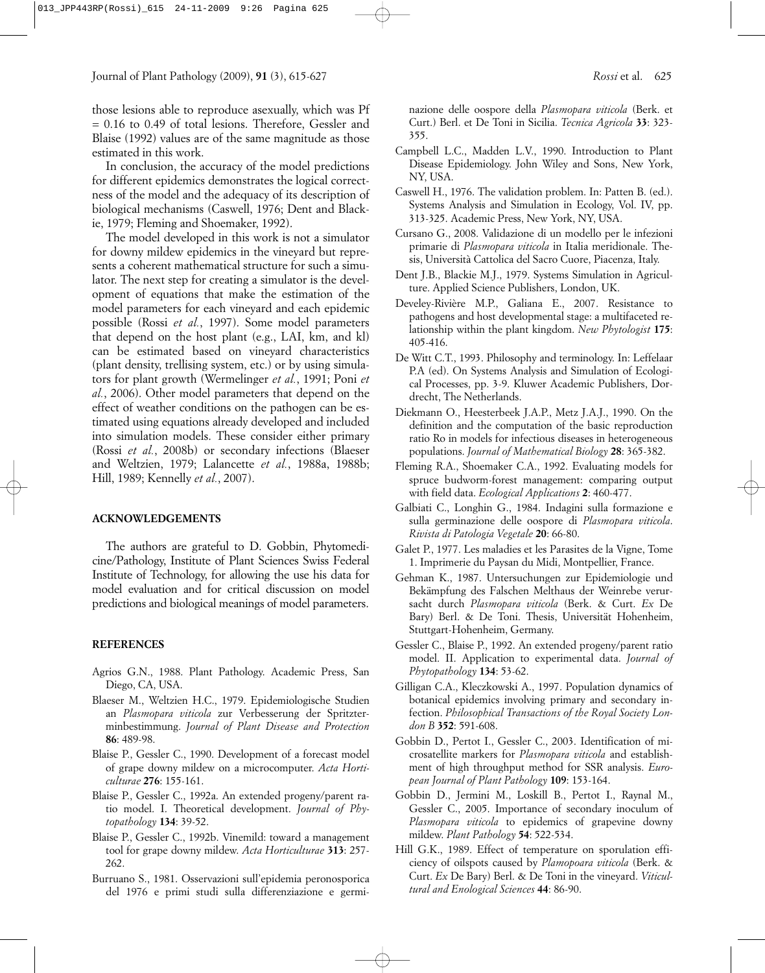those lesions able to reproduce asexually, which was Pf = 0.16 to 0.49 of total lesions. Therefore, Gessler and Blaise (1992) values are of the same magnitude as those estimated in this work.

In conclusion, the accuracy of the model predictions for different epidemics demonstrates the logical correctness of the model and the adequacy of its description of biological mechanisms (Caswell, 1976; Dent and Blackie, 1979; Fleming and Shoemaker, 1992).

The model developed in this work is not a simulator for downy mildew epidemics in the vineyard but represents a coherent mathematical structure for such a simulator. The next step for creating a simulator is the development of equations that make the estimation of the model parameters for each vineyard and each epidemic possible (Rossi *et al.*, 1997). Some model parameters that depend on the host plant (e.g., LAI, km, and kl) can be estimated based on vineyard characteristics (plant density, trellising system, etc.) or by using simulators for plant growth (Wermelinger *et al.*, 1991; Poni *et al.*, 2006). Other model parameters that depend on the effect of weather conditions on the pathogen can be estimated using equations already developed and included into simulation models. These consider either primary (Rossi *et al.*, 2008b) or secondary infections (Blaeser and Weltzien, 1979; Lalancette *et al.*, 1988a, 1988b; Hill, 1989; Kennelly *et al.*, 2007).

## **ACKNOWLEDGEMENTS**

The authors are grateful to D. Gobbin, Phytomedicine/Pathology, Institute of Plant Sciences Swiss Federal Institute of Technology, for allowing the use his data for model evaluation and for critical discussion on model predictions and biological meanings of model parameters.

#### **REFERENCES**

- Agrios G.N., 1988. Plant Pathology. Academic Press, San Diego, CA, USA.
- Blaeser M., Weltzien H.C., 1979. Epidemiologische Studien an *Plasmopara viticola* zur Verbesserung der Spritzterminbestimmung. *Journal of Plant Disease and Protection* **86**: 489-98.
- Blaise P., Gessler C., 1990. Development of a forecast model of grape downy mildew on a microcomputer. *Acta Horticulturae* **276**: 155-161.
- Blaise P., Gessler C., 1992a. An extended progeny/parent ratio model. I. Theoretical development. *Journal of Phytopathology* **134**: 39-52.
- Blaise P., Gessler C., 1992b. Vinemild: toward a management tool for grape downy mildew. *Acta Horticulturae* **313**: 257- 262.
- Burruano S., 1981. Osservazioni sull'epidemia peronosporica del 1976 e primi studi sulla differenziazione e germi-

nazione delle oospore della *Plasmopara viticola* (Berk. et Curt.) Berl. et De Toni in Sicilia. *Tecnica Agricola* **33**: 323- 355.

- Campbell L.C., Madden L.V., 1990. Introduction to Plant Disease Epidemiology. John Wiley and Sons, New York, NY, USA.
- Caswell H., 1976. The validation problem. In: Patten B. (ed.). Systems Analysis and Simulation in Ecology, Vol. IV, pp. 313-325. Academic Press, New York, NY, USA.
- Cursano G., 2008. Validazione di un modello per le infezioni primarie di *Plasmopara viticola* in Italia meridionale. Thesis, Università Cattolica del Sacro Cuore, Piacenza, Italy.
- Dent J.B., Blackie M.J., 1979. Systems Simulation in Agriculture. Applied Science Publishers, London, UK.
- Develey-Rivière M.P., Galiana E., 2007. Resistance to pathogens and host developmental stage: a multifaceted relationship within the plant kingdom. *New Phytologist* **175**: 405-416.
- De Witt C.T., 1993. Philosophy and terminology. In: Leffelaar P.A (ed). On Systems Analysis and Simulation of Ecological Processes, pp. 3-9. Kluwer Academic Publishers, Dordrecht, The Netherlands.
- Diekmann O., Heesterbeek J.A.P., Metz J.A.J., 1990. On the definition and the computation of the basic reproduction ratio Ro in models for infectious diseases in heterogeneous populations. *Journal of Mathematical Biology* **28**: 365-382.
- Fleming R.A., Shoemaker C.A., 1992. Evaluating models for spruce budworm-forest management: comparing output with field data. *Ecological Applications* **2**: 460-477.
- Galbiati C., Longhin G., 1984. Indagini sulla formazione e sulla germinazione delle oospore di *Plasmopara viticola*. *Rivista di Patologia Vegetale* **20**: 66-80.
- Galet P., 1977. Les maladies et les Parasites de la Vigne, Tome 1. Imprimerie du Paysan du Midi, Montpellier, France.
- Gehman K., 1987. Untersuchungen zur Epidemiologie und Bekämpfung des Falschen Melthaus der Weinrebe verursacht durch *Plasmopara viticola* (Berk. & Curt. *Ex* De Bary) Berl. & De Toni. Thesis, Universität Hohenheim, Stuttgart-Hohenheim, Germany.
- Gessler C., Blaise P., 1992. An extended progeny/parent ratio model. II. Application to experimental data. *Journal of Phytopathology* **134**: 53-62.
- Gilligan C.A., Kleczkowski A., 1997. Population dynamics of botanical epidemics involving primary and secondary infection. *Philosophical Transactions of the Royal Society London B* **352**: 591-608.
- Gobbin D., Pertot I., Gessler C., 2003. Identification of microsatellite markers for *Plasmopara viticola* and establishment of high throughput method for SSR analysis. *European Journal of Plant Pathology* **109**: 153-164.
- Gobbin D., Jermini M., Loskill B., Pertot I., Raynal M., Gessler C., 2005. Importance of secondary inoculum of *Plasmopara viticola* to epidemics of grapevine downy mildew. *Plant Pathology* **54**: 522-534.
- Hill G.K., 1989. Effect of temperature on sporulation efficiency of oilspots caused by *Plamopoara viticola* (Berk. & Curt. *Ex* De Bary) Berl. & De Toni in the vineyard. *Viticultural and Enological Sciences* **44**: 86-90.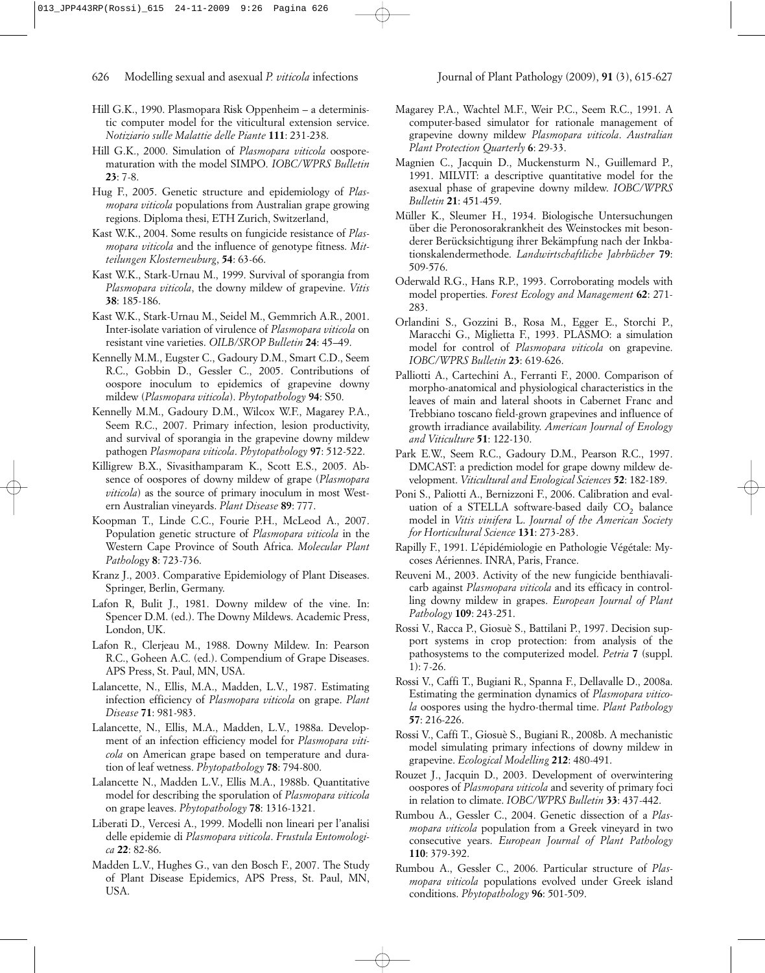- Hill G.K., 1990. Plasmopara Risk Oppenheim a deterministic computer model for the viticultural extension service. *Notiziario sulle Malattie delle Piante* **111**: 231-238.
- Hill G.K., 2000. Simulation of *Plasmopara viticola* oosporematuration with the model SIMPO. *IOBC/WPRS Bulletin* **23**: 7-8.
- Hug F., 2005. Genetic structure and epidemiology of *Plasmopara viticola* populations from Australian grape growing regions. Diploma thesi, ETH Zurich, Switzerland,
- Kast W.K., 2004. Some results on fungicide resistance of *Plasmopara viticola* and the influence of genotype fitness. *Mitteilungen Klosterneuburg*, **54**: 63-66.
- Kast W.K., Stark-Urnau M., 1999. Survival of sporangia from *Plasmopara viticola*, the downy mildew of grapevine. *Vitis* **38**: 185-186.
- Kast W.K., Stark-Urnau M., Seidel M., Gemmrich A.R., 2001. Inter-isolate variation of virulence of *Plasmopara viticola* on resistant vine varieties. *OILB/SROP Bulletin* **24**: 45–49.
- Kennelly M.M., Eugster C., Gadoury D.M., Smart C.D., Seem R.C., Gobbin D., Gessler C., 2005. Contributions of oospore inoculum to epidemics of grapevine downy mildew (*Plasmopara viticola*). *Phytopathology* **94**: S50.
- Kennelly M.M., Gadoury D.M., Wilcox W.F., Magarey P.A., Seem R.C., 2007. Primary infection, lesion productivity, and survival of sporangia in the grapevine downy mildew pathogen *Plasmopara viticola*. *Phytopathology* **97**: 512-522.
- Killigrew B.X., Sivasithamparam K., Scott E.S., 2005. Absence of oospores of downy mildew of grape (*Plasmopara viticola*) as the source of primary inoculum in most Western Australian vineyards. *Plant Disease* **89**: 777.
- Koopman T., Linde C.C., Fourie P.H., McLeod A., 2007. Population genetic structure of *Plasmopara viticola* in the Western Cape Province of South Africa. *Molecular Plant Patholo*gy **8**: 723-736.
- Kranz J., 2003. Comparative Epidemiology of Plant Diseases. Springer, Berlin, Germany.
- Lafon R, Bulit J., 1981. Downy mildew of the vine. In: Spencer D.M. (ed.). The Downy Mildews. Academic Press, London, UK.
- Lafon R., Clerjeau M., 1988. Downy Mildew. In: Pearson R.C., Goheen A.C. (ed.). Compendium of Grape Diseases. APS Press, St. Paul, MN, USA.
- Lalancette, N., Ellis, M.A., Madden, L.V., 1987. Estimating infection efficiency of *Plasmopara viticola* on grape. *Plant Disease* **71**: 981-983.
- Lalancette, N., Ellis, M.A., Madden, L.V., 1988a. Development of an infection efficiency model for *Plasmopara viticola* on American grape based on temperature and duration of leaf wetness. *Phytopathology* **78**: 794-800.
- Lalancette N., Madden L.V., Ellis M.A., 1988b. Quantitative model for describing the sporulation of *Plasmopara viticola* on grape leaves. *Phytopathology* **78**: 1316-1321.
- Liberati D., Vercesi A., 1999. Modelli non lineari per l'analisi delle epidemie di *Plasmopara viticola*. *Frustula Entomologica* **22**: 82-86.
- Madden L.V., Hughes G., van den Bosch F., 2007. The Study of Plant Disease Epidemics, APS Press, St. Paul, MN, USA.
- Magarey P.A., Wachtel M.F., Weir P.C., Seem R.C., 1991. A computer-based simulator for rationale management of grapevine downy mildew *Plasmopara viticola*. *Australian Plant Protection Quarterly* **6**: 29-33.
- Magnien C., Jacquin D., Muckensturm N., Guillemard P., 1991. MILVIT: a descriptive quantitative model for the asexual phase of grapevine downy mildew. *IOBC/WPRS Bulletin* **21**: 451-459.
- Müller K., Sleumer H., 1934. Biologische Untersuchungen über die Peronosorakrankheit des Weinstockes mit besonderer Berücksichtigung ihrer Bekämpfung nach der Inkbationskalendermethode. *Landwirtschaftliche Jahrbücher* **79**: 509-576.
- Oderwald R.G., Hans R.P., 1993. Corroborating models with model properties. *Forest Ecology and Management* **62**: 271- 283.
- Orlandini S., Gozzini B., Rosa M., Egger E., Storchi P., Maracchi G., Miglietta F., 1993. PLASMO: a simulation model for control of *Plasmopara viticola* on grapevine. *IOBC/WPRS Bulletin* **23**: 619-626.
- Palliotti A., Cartechini A., Ferranti F., 2000. Comparison of morpho-anatomical and physiological characteristics in the leaves of main and lateral shoots in Cabernet Franc and Trebbiano toscano field-grown grapevines and influence of growth irradiance availability. *American Journal of Enology and Viticulture* **51**: 122-130.
- Park E.W., Seem R.C., Gadoury D.M., Pearson R.C., 1997. DMCAST: a prediction model for grape downy mildew development. *Viticultural and Enological Sciences* **52**: 182-189.
- Poni S., Paliotti A., Bernizzoni F., 2006. Calibration and evaluation of a STELLA software-based daily  $CO<sub>2</sub>$  balance model in *Vitis vinifera* L. *Journal of the American Society for Horticultural Science* **131**: 273-283.
- Rapilly F., 1991. L'épidémiologie en Pathologie Végétale: Mycoses Aériennes. INRA, Paris, France.
- Reuveni M., 2003. Activity of the new fungicide benthiavalicarb against *Plasmopara viticola* and its efficacy in controlling downy mildew in grapes. *European Journal of Plant Pathology* **109**: 243-251.
- Rossi V., Racca P., Giosuè S., Battilani P., 1997. Decision support systems in crop protection: from analysis of the pathosystems to the computerized model. *Petria* **7** (suppl. 1): 7-26.
- Rossi V., Caffi T., Bugiani R., Spanna F., Dellavalle D., 2008a. Estimating the germination dynamics of *Plasmopara viticola* oospores using the hydro-thermal time. *Plant Pathology* **57**: 216-226.
- Rossi V., Caffi T., Giosuè S., Bugiani R., 2008b. A mechanistic model simulating primary infections of downy mildew in grapevine. *Ecological Modelling* **212**: 480-491.
- Rouzet J., Jacquin D., 2003. Development of overwintering oospores of *Plasmopara viticola* and severity of primary foci in relation to climate. *IOBC/WPRS Bulletin* **33**: 437-442.
- Rumbou A., Gessler C., 2004. Genetic dissection of a *Plasmopara viticola* population from a Greek vineyard in two consecutive years. *European Journal of Plant Pathology* **110**: 379-392.
- Rumbou A., Gessler C., 2006. Particular structure of *Plasmopara viticola* populations evolved under Greek island conditions. *Phytopathology* **96**: 501-509.